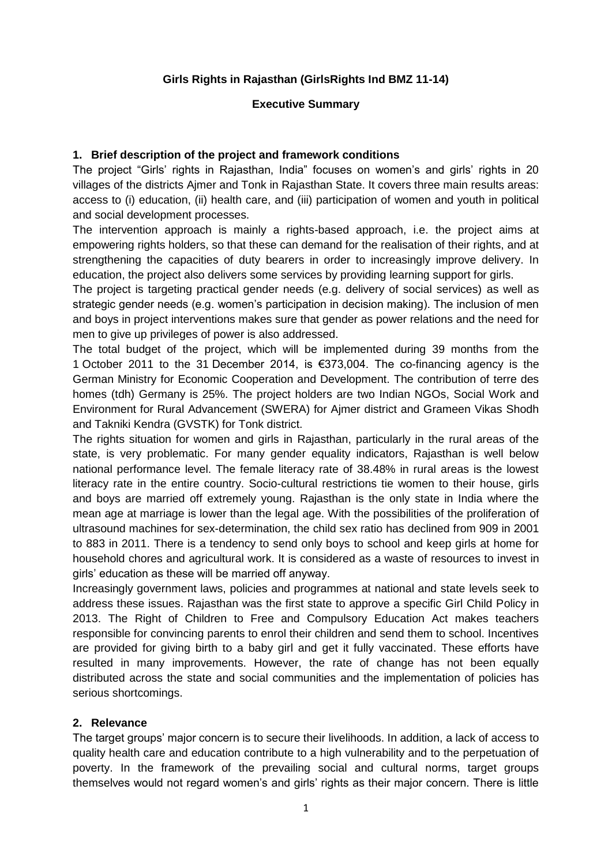#### **Girls Rights in Rajasthan (GirlsRights Ind BMZ 11-14)**

#### **Executive Summary**

#### **1. Brief description of the project and framework conditions**

The project "Girls' rights in Rajasthan, India" focuses on women's and girls' rights in 20 villages of the districts Ajmer and Tonk in Rajasthan State. It covers three main results areas: access to (i) education, (ii) health care, and (iii) participation of women and youth in political and social development processes.

The intervention approach is mainly a rights-based approach, i.e. the project aims at empowering rights holders, so that these can demand for the realisation of their rights, and at strengthening the capacities of duty bearers in order to increasingly improve delivery. In education, the project also delivers some services by providing learning support for girls.

The project is targeting practical gender needs (e.g. delivery of social services) as well as strategic gender needs (e.g. women's participation in decision making). The inclusion of men and boys in project interventions makes sure that gender as power relations and the need for men to give up privileges of power is also addressed.

The total budget of the project, which will be implemented during 39 months from the 1 October 2011 to the 31 December 2014, is €373,004. The co-financing agency is the German Ministry for Economic Cooperation and Development. The contribution of terre des homes (tdh) Germany is 25%. The project holders are two Indian NGOs, Social Work and Environment for Rural Advancement (SWERA) for Ajmer district and Grameen Vikas Shodh and Takniki Kendra (GVSTK) for Tonk district.

The rights situation for women and girls in Rajasthan, particularly in the rural areas of the state, is very problematic. For many gender equality indicators, Rajasthan is well below national performance level. The female literacy rate of 38.48% in rural areas is the lowest literacy rate in the entire country. Socio-cultural restrictions tie women to their house, girls and boys are married off extremely young. Rajasthan is the only state in India where the mean age at marriage is lower than the legal age. With the possibilities of the proliferation of ultrasound machines for sex-determination, the child sex ratio has declined from 909 in 2001 to 883 in 2011. There is a tendency to send only boys to school and keep girls at home for household chores and agricultural work. It is considered as a waste of resources to invest in girls' education as these will be married off anyway.

Increasingly government laws, policies and programmes at national and state levels seek to address these issues. Rajasthan was the first state to approve a specific Girl Child Policy in 2013. The Right of Children to Free and Compulsory Education Act makes teachers responsible for convincing parents to enrol their children and send them to school. Incentives are provided for giving birth to a baby girl and get it fully vaccinated. These efforts have resulted in many improvements. However, the rate of change has not been equally distributed across the state and social communities and the implementation of policies has serious shortcomings.

## **2. Relevance**

The target groups' major concern is to secure their livelihoods. In addition, a lack of access to quality health care and education contribute to a high vulnerability and to the perpetuation of poverty. In the framework of the prevailing social and cultural norms, target groups themselves would not regard women's and girls' rights as their major concern. There is little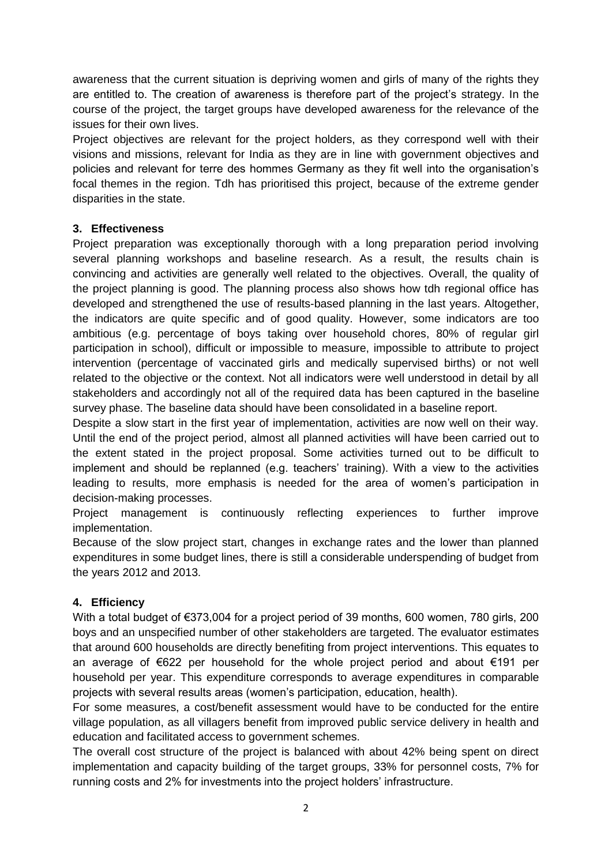awareness that the current situation is depriving women and girls of many of the rights they are entitled to. The creation of awareness is therefore part of the project's strategy. In the course of the project, the target groups have developed awareness for the relevance of the issues for their own lives.

Project objectives are relevant for the project holders, as they correspond well with their visions and missions, relevant for India as they are in line with government objectives and policies and relevant for terre des hommes Germany as they fit well into the organisation's focal themes in the region. Tdh has prioritised this project, because of the extreme gender disparities in the state.

## **3. Effectiveness**

Project preparation was exceptionally thorough with a long preparation period involving several planning workshops and baseline research. As a result, the results chain is convincing and activities are generally well related to the objectives. Overall, the quality of the project planning is good. The planning process also shows how tdh regional office has developed and strengthened the use of results-based planning in the last years. Altogether, the indicators are quite specific and of good quality. However, some indicators are too ambitious (e.g. percentage of boys taking over household chores, 80% of regular girl participation in school), difficult or impossible to measure, impossible to attribute to project intervention (percentage of vaccinated girls and medically supervised births) or not well related to the objective or the context. Not all indicators were well understood in detail by all stakeholders and accordingly not all of the required data has been captured in the baseline survey phase. The baseline data should have been consolidated in a baseline report.

Despite a slow start in the first year of implementation, activities are now well on their way. Until the end of the project period, almost all planned activities will have been carried out to the extent stated in the project proposal. Some activities turned out to be difficult to implement and should be replanned (e.g. teachers' training). With a view to the activities leading to results, more emphasis is needed for the area of women's participation in decision-making processes.

Project management is continuously reflecting experiences to further improve implementation.

Because of the slow project start, changes in exchange rates and the lower than planned expenditures in some budget lines, there is still a considerable underspending of budget from the years 2012 and 2013.

## **4. Efficiency**

With a total budget of €373,004 for a project period of 39 months, 600 women, 780 girls, 200 boys and an unspecified number of other stakeholders are targeted. The evaluator estimates that around 600 households are directly benefiting from project interventions. This equates to an average of €622 per household for the whole project period and about €191 per household per year. This expenditure corresponds to average expenditures in comparable projects with several results areas (women's participation, education, health).

For some measures, a cost/benefit assessment would have to be conducted for the entire village population, as all villagers benefit from improved public service delivery in health and education and facilitated access to government schemes.

The overall cost structure of the project is balanced with about 42% being spent on direct implementation and capacity building of the target groups, 33% for personnel costs, 7% for running costs and 2% for investments into the project holders' infrastructure.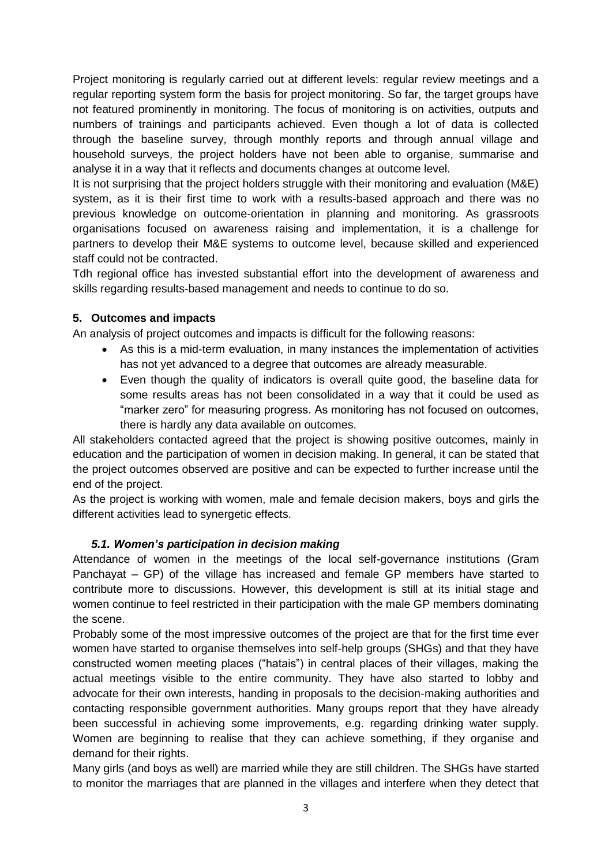Project monitoring is regularly carried out at different levels: regular review meetings and a regular reporting system form the basis for project monitoring. So far, the target groups have not featured prominently in monitoring. The focus of monitoring is on activities, outputs and numbers of trainings and participants achieved. Even though a lot of data is collected through the baseline survey, through monthly reports and through annual village and household surveys, the project holders have not been able to organise, summarise and analyse it in a way that it reflects and documents changes at outcome level.

It is not surprising that the project holders struggle with their monitoring and evaluation (M&E) system, as it is their first time to work with a results-based approach and there was no previous knowledge on outcome-orientation in planning and monitoring. As grassroots organisations focused on awareness raising and implementation, it is a challenge for partners to develop their M&E systems to outcome level, because skilled and experienced staff could not be contracted.

Tdh regional office has invested substantial effort into the development of awareness and skills regarding results-based management and needs to continue to do so.

# **5. Outcomes and impacts**

An analysis of project outcomes and impacts is difficult for the following reasons:

- As this is a mid-term evaluation, in many instances the implementation of activities has not yet advanced to a degree that outcomes are already measurable.
- Even though the quality of indicators is overall quite good, the baseline data for some results areas has not been consolidated in a way that it could be used as "marker zero" for measuring progress. As monitoring has not focused on outcomes, there is hardly any data available on outcomes.

All stakeholders contacted agreed that the project is showing positive outcomes, mainly in education and the participation of women in decision making. In general, it can be stated that the project outcomes observed are positive and can be expected to further increase until the end of the project.

As the project is working with women, male and female decision makers, boys and girls the different activities lead to synergetic effects.

## *5.1. Women's participation in decision making*

Attendance of women in the meetings of the local self-governance institutions (Gram Panchayat – GP) of the village has increased and female GP members have started to contribute more to discussions. However, this development is still at its initial stage and women continue to feel restricted in their participation with the male GP members dominating the scene.

Probably some of the most impressive outcomes of the project are that for the first time ever women have started to organise themselves into self-help groups (SHGs) and that they have constructed women meeting places ("hatais") in central places of their villages, making the actual meetings visible to the entire community. They have also started to lobby and advocate for their own interests, handing in proposals to the decision-making authorities and contacting responsible government authorities. Many groups report that they have already been successful in achieving some improvements, e.g. regarding drinking water supply. Women are beginning to realise that they can achieve something, if they organise and demand for their rights.

Many girls (and boys as well) are married while they are still children. The SHGs have started to monitor the marriages that are planned in the villages and interfere when they detect that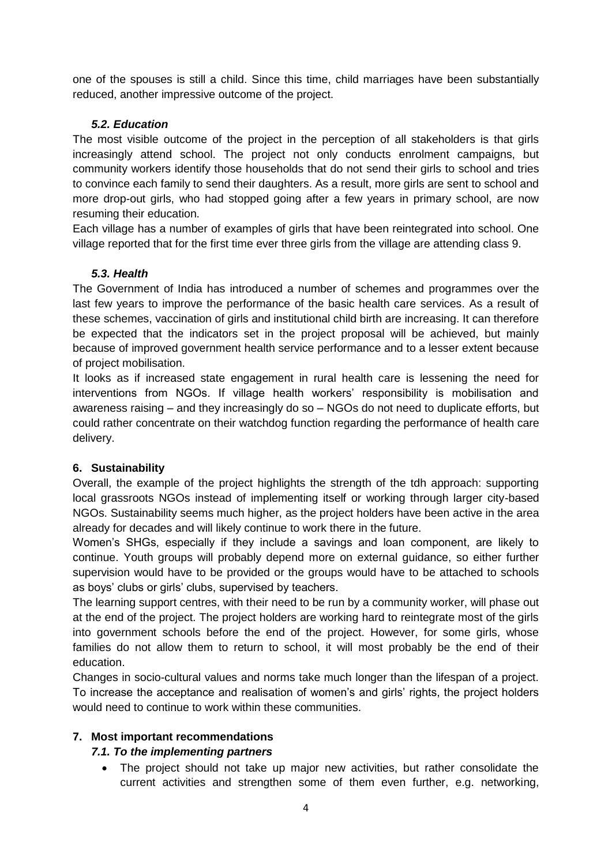one of the spouses is still a child. Since this time, child marriages have been substantially reduced, another impressive outcome of the project.

## *5.2. Education*

The most visible outcome of the project in the perception of all stakeholders is that girls increasingly attend school. The project not only conducts enrolment campaigns, but community workers identify those households that do not send their girls to school and tries to convince each family to send their daughters. As a result, more girls are sent to school and more drop-out girls, who had stopped going after a few years in primary school, are now resuming their education.

Each village has a number of examples of girls that have been reintegrated into school. One village reported that for the first time ever three girls from the village are attending class 9.

## *5.3. Health*

The Government of India has introduced a number of schemes and programmes over the last few years to improve the performance of the basic health care services. As a result of these schemes, vaccination of girls and institutional child birth are increasing. It can therefore be expected that the indicators set in the project proposal will be achieved, but mainly because of improved government health service performance and to a lesser extent because of project mobilisation.

It looks as if increased state engagement in rural health care is lessening the need for interventions from NGOs. If village health workers' responsibility is mobilisation and awareness raising – and they increasingly do so – NGOs do not need to duplicate efforts, but could rather concentrate on their watchdog function regarding the performance of health care delivery.

## **6. Sustainability**

Overall, the example of the project highlights the strength of the tdh approach: supporting local grassroots NGOs instead of implementing itself or working through larger city-based NGOs. Sustainability seems much higher, as the project holders have been active in the area already for decades and will likely continue to work there in the future.

Women's SHGs, especially if they include a savings and loan component, are likely to continue. Youth groups will probably depend more on external guidance, so either further supervision would have to be provided or the groups would have to be attached to schools as boys' clubs or girls' clubs, supervised by teachers.

The learning support centres, with their need to be run by a community worker, will phase out at the end of the project. The project holders are working hard to reintegrate most of the girls into government schools before the end of the project. However, for some girls, whose families do not allow them to return to school, it will most probably be the end of their education.

Changes in socio-cultural values and norms take much longer than the lifespan of a project. To increase the acceptance and realisation of women's and girls' rights, the project holders would need to continue to work within these communities.

## **7. Most important recommendations**

## *7.1. To the implementing partners*

 The project should not take up major new activities, but rather consolidate the current activities and strengthen some of them even further, e.g. networking,